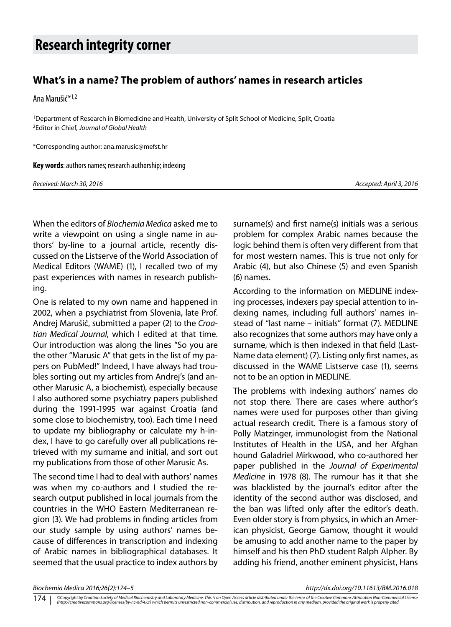## **Research integrity corner**

## **What's in a name? The problem of authors' names in research articles**

Ana Marušić\*1,2

1Department of Research in Biomedicine and Health, University of Split School of Medicine, Split, Croatia 2Editor in Chief, *Journal of Global Health*

\*Corresponding author: ana.marusic@mefst.hr

**Key words**: authors names; research authorship; indexing

*Received: March 30, 2016 Accepted: April 3, 2016*

When the editors of *Biochemia Medica* asked me to write a viewpoint on using a single name in authors' by-line to a journal article, recently discussed on the Listserve of the World Association of Medical Editors (WAME) (1), I recalled two of my past experiences with names in research publishing.

One is related to my own name and happened in 2002, when a psychiatrist from Slovenia, late Prof. Andrej Marušič, submitted a paper (2) to the *Croatian Medical Journal*, which I edited at that time. Our introduction was along the lines "So you are the other "Marusic A" that gets in the list of my papers on PubMed!" Indeed, I have always had troubles sorting out my articles from Andrej's (and another Marusic A, a biochemist), especially because I also authored some psychiatry papers published during the 1991-1995 war against Croatia (and some close to biochemistry, too). Each time I need to update my bibliography or calculate my h-index, I have to go carefully over all publications retrieved with my surname and initial, and sort out my publications from those of other Marusic As.

The second time I had to deal with authors' names was when my co-authors and I studied the research output published in local journals from the countries in the WHO Eastern Mediterranean region (3). We had problems in finding articles from our study sample by using authors' names because of differences in transcription and indexing of Arabic names in bibliographical databases. It seemed that the usual practice to index authors by surname(s) and first name(s) initials was a serious problem for complex Arabic names because the logic behind them is often very different from that for most western names. This is true not only for Arabic (4), but also Chinese (5) and even Spanish (6) names.

According to the information on MEDLINE indexing processes, indexers pay special attention to indexing names, including full authors' names instead of "last name – initials" format (7). MEDLINE also recognizes that some authors may have only a surname, which is then indexed in that field (Last-Name data element) (7). Listing only first names, as discussed in the WAME Listserve case (1), seems not to be an option in MEDLINE.

The problems with indexing authors' names do not stop there. There are cases where author's names were used for purposes other than giving actual research credit. There is a famous story of Polly Matzinger, immunologist from the National Institutes of Health in the USA, and her Afghan hound Galadriel Mirkwood, who co-authored her paper published in the *Journal of Experimental Medicine* in 1978 (8). The rumour has it that she was blacklisted by the journal's editor after the identity of the second author was disclosed, and the ban was lifted only after the editor's death. Even older story is from physics, in which an American physicist, George Gamow, thought it would be amusing to add another name to the paper by himself and his then PhD student Ralph Alpher. By adding his friend, another eminent physicist, Hans

*Biochemia Medica 2016;26(2):174–5 http://dx.doi.org/10.11613/BM.2016.018*

<sup>©</sup>Copyright by Croatian Society of Medical Biochemistry and Laboratory Medicine. This is an Open Access article distributed under the terms of the Creative Commons Attribution Non-Commercial License<br>(http://creativecommons. 174